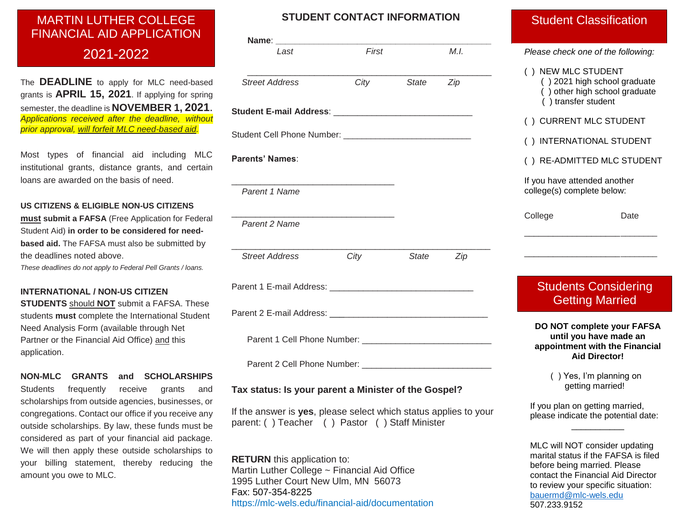# **MARTIN LUTHER COLLEGE**  MARTIN LUTHER COLLEGE **FINANCIAL AID APPLICATION**  FINANCIAL AID APPLICATION

## **2020–2021** 2021-2022

The **DEADLINE** to apply for MLC need-based grants is **APRIL 15, 2021**. If applying for spring semester, the deadline is **NOVEMBER 1, 2021**. *Applications received after the deadline, without prior approval, will forfeit MLC need-based aid.*

Most types of financial aid including MLC institutional grants, distance grants, and certain loans are awarded on the basis of need.

#### **US CITIZENS & ELIGIBLE NON-US CITIZENS**

**must submit a FAFSA** (Free Application for Federal Student Aid) **in order to be considered for needbased aid.** The FAFSA must also be submitted by the deadlines noted above.

*These deadlines do not apply to Federal Pell Grants / loans.*

#### **INTERNATIONAL / NON-US CITIZEN**

**STUDENTS** should **NOT** submit a FAFSA. These students **must** complete the International Student Need Analysis Form (available through Net Partner or the Financial Aid Office) and this application.

**NON-MLC GRANTS and SCHOLARSHIPS**  Students frequently receive grants and scholarships from outside agencies, businesses, or congregations. Contact our office if you receive any outside scholarships. By law, these funds must be considered as part of your financial aid package. We will then apply these outside scholarships to your billing statement, thereby reducing the amount you owe to MLC.

## **STUDENT CONTACT INFORMATION**

| Last                   | First                                                                                     |       | M.L |  |
|------------------------|-------------------------------------------------------------------------------------------|-------|-----|--|
|                        |                                                                                           |       |     |  |
| <b>Street Address</b>  | City                                                                                      | State | Zip |  |
|                        |                                                                                           |       |     |  |
|                        |                                                                                           |       |     |  |
|                        |                                                                                           |       |     |  |
|                        |                                                                                           |       |     |  |
| <b>Parents' Names:</b> |                                                                                           |       |     |  |
|                        |                                                                                           |       |     |  |
| Parent 1 Name          |                                                                                           |       |     |  |
| Parent 2 Name          | the control of the control of the control of the control of the control of the control of |       |     |  |
|                        |                                                                                           |       |     |  |
| <b>Street Address</b>  | City                                                                                      | State | Zip |  |
|                        |                                                                                           |       |     |  |
|                        |                                                                                           |       |     |  |
|                        |                                                                                           |       |     |  |
|                        |                                                                                           |       |     |  |
|                        |                                                                                           |       |     |  |
|                        |                                                                                           |       |     |  |
|                        |                                                                                           |       |     |  |
|                        |                                                                                           |       |     |  |

#### **Tax status: Is your parent a Minister of the Gospel?**

If the answer is **yes**, please select which status applies to your parent: ( ) Teacher ( ) Pastor ( ) Staff Minister

**RETURN** this application to: Martin Luther College ~ Financial Aid Office 1995 Luther Court New Ulm, MN 56073 Fax: 507-354-8225 https://mlc-wels.edu/financial-aid/documentation

## Student Classification

| () NEW MLC STUDENT<br>() 2021 high school graduate<br>() other high school graduate<br>() transfer student     |  |
|----------------------------------------------------------------------------------------------------------------|--|
| () CURRENT MLC STUDENT                                                                                         |  |
| () INTERNATIONAL STUDENT                                                                                       |  |
| () RE-ADMITTED MLC STUDENT                                                                                     |  |
| If you have attended another<br>college(s) complete below:                                                     |  |
| College<br>Date                                                                                                |  |
|                                                                                                                |  |
| <b>Students Considering</b><br><b>Getting Married</b>                                                          |  |
| DO NOT complete your FAFSA<br>until you have made an<br>appointment with the Financial<br><b>Aid Director!</b> |  |
| () Yes, I'm planning on<br>getting married!                                                                    |  |
| If you plan on getting married,<br>please indicate the potential date:                                         |  |

MLC will NOT consider updating marital status if the FAFSA is filed before being married. Please contact the Financial Aid Director to review your specific situation: [bauermd@mlc-wels.edu](mailto:bauermd@mlc-wels.edu) 507.233.9152